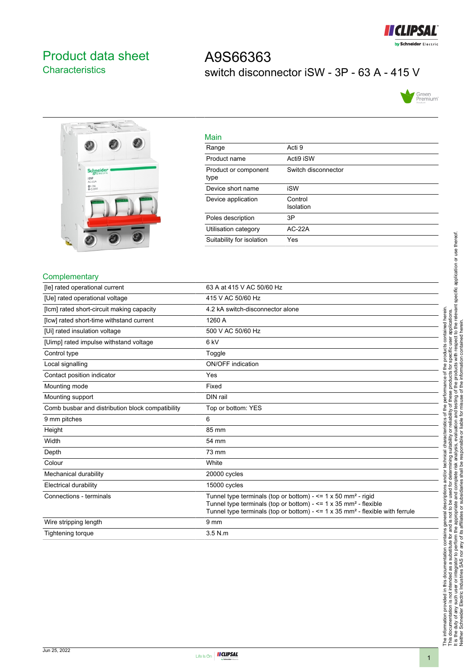

## <span id="page-0-0"></span>Product data sheet **Characteristics**

# A9S66363 switch disconnector iSW - 3P - 63 A - 415 V





| Main                         |                      |
|------------------------------|----------------------|
| Range                        | Acti 9               |
| Product name                 | Acti9 iSW            |
| Product or component<br>type | Switch disconnector  |
| Device short name            | iSW                  |
| Device application           | Control<br>Isolation |
| Poles description            | 3P                   |
| Utilisation category         | $AC-22A$             |
| Suitability for isolation    | Yes                  |

#### **Complementary**

| [le] rated operational current                   | 63 A at 415 V AC 50/60 Hz                                                                                                                                                                                                                                        |
|--------------------------------------------------|------------------------------------------------------------------------------------------------------------------------------------------------------------------------------------------------------------------------------------------------------------------|
| [Ue] rated operational voltage                   | 415 V AC 50/60 Hz                                                                                                                                                                                                                                                |
| [Icm] rated short-circuit making capacity        | 4.2 kA switch-disconnector alone                                                                                                                                                                                                                                 |
| [lcw] rated short-time withstand current         | 1260 A                                                                                                                                                                                                                                                           |
| [Ui] rated insulation voltage                    | 500 V AC 50/60 Hz                                                                                                                                                                                                                                                |
| [Uimp] rated impulse withstand voltage           | 6 <sub>kV</sub>                                                                                                                                                                                                                                                  |
| Control type                                     | Toggle                                                                                                                                                                                                                                                           |
| Local signalling                                 | <b>ON/OFF</b> indication                                                                                                                                                                                                                                         |
| Contact position indicator                       | Yes                                                                                                                                                                                                                                                              |
| Mounting mode                                    | Fixed                                                                                                                                                                                                                                                            |
| Mounting support                                 | DIN rail                                                                                                                                                                                                                                                         |
| Comb busbar and distribution block compatibility | Top or bottom: YES                                                                                                                                                                                                                                               |
| 9 mm pitches                                     | 6                                                                                                                                                                                                                                                                |
| Height                                           | 85 mm                                                                                                                                                                                                                                                            |
| Width                                            | 54 mm                                                                                                                                                                                                                                                            |
| Depth                                            | 73 mm                                                                                                                                                                                                                                                            |
| Colour                                           | White                                                                                                                                                                                                                                                            |
| Mechanical durability                            | 20000 cycles                                                                                                                                                                                                                                                     |
| Electrical durability                            | 15000 cycles                                                                                                                                                                                                                                                     |
| Connections - terminals                          | Tunnel type terminals (top or bottom) - $\leq$ 1 x 50 mm <sup>2</sup> - rigid<br>Tunnel type terminals (top or bottom) - $\leq$ 1 x 35 mm <sup>2</sup> - flexible<br>Tunnel type terminals (top or bottom) $-$ <= 1 x 35 mm <sup>2</sup> - flexible with ferrule |
| Wire stripping length                            | 9 <sub>mm</sub>                                                                                                                                                                                                                                                  |
| Tightening torque                                | $3.5$ N.m.                                                                                                                                                                                                                                                       |